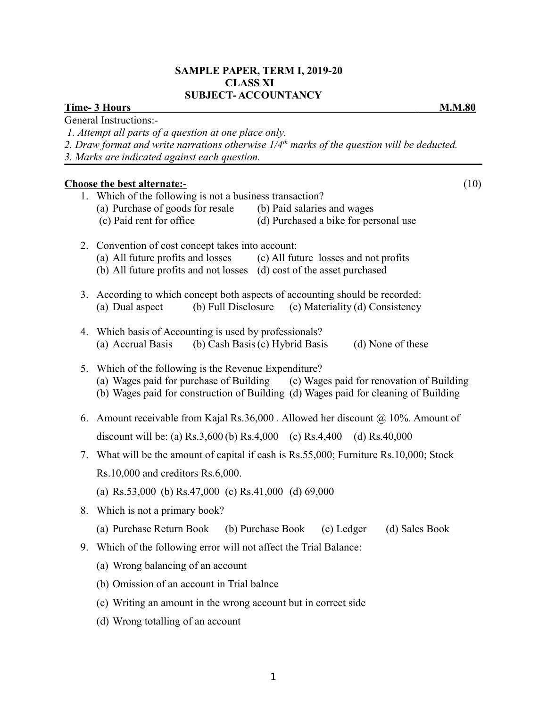# **SAMPLE PAPER, TERM I, 2019-20 CLASS XI SUBJECT- ACCOUNTANCY**

*2. Draw format and write narrations otherwise 1/4th marks of the question will be deducted.*

# **Time- 3 Hours M.M.80** General Instructions:-

 *1. Attempt all parts of a question at one place only.*

|    | 3. Marks are indicated against each question.                                                                                                                            |
|----|--------------------------------------------------------------------------------------------------------------------------------------------------------------------------|
|    | <b>Choose the best alternate:-</b><br>(10)                                                                                                                               |
|    | 1. Which of the following is not a business transaction?                                                                                                                 |
|    | (a) Purchase of goods for resale<br>(b) Paid salaries and wages<br>(c) Paid rent for office<br>(d) Purchased a bike for personal use                                     |
|    |                                                                                                                                                                          |
| 2. | Convention of cost concept takes into account:<br>(a) All future profits and losses (c) All future losses and not profits                                                |
|    | (b) All future profits and not losses (d) cost of the asset purchased                                                                                                    |
| 3. | According to which concept both aspects of accounting should be recorded:                                                                                                |
|    | (b) Full Disclosure<br>(c) Materiality (d) Consistency<br>(a) Dual aspect                                                                                                |
| 4. | Which basis of Accounting is used by professionals?                                                                                                                      |
|    | (a) Accrual Basis<br>(b) Cash Basis (c) Hybrid Basis<br>(d) None of these                                                                                                |
| 5. | Which of the following is the Revenue Expenditure?                                                                                                                       |
|    | (a) Wages paid for purchase of Building (c) Wages paid for renovation of Building<br>(b) Wages paid for construction of Building (d) Wages paid for cleaning of Building |
|    |                                                                                                                                                                          |
|    | 6. Amount receivable from Kajal Rs.36,000. Allowed her discount $\omega$ 10%. Amount of                                                                                  |
|    | discount will be: (a) Rs.3,600 (b) Rs.4,000 (c) Rs.4,400<br>(d) $Rs.40,000$                                                                                              |
| 7. | What will be the amount of capital if cash is Rs.55,000; Furniture Rs.10,000; Stock                                                                                      |
|    | $Rs.10,000$ and creditors $Rs.6,000$ .                                                                                                                                   |
|    | (a) Rs.53,000 (b) Rs.47,000 (c) Rs.41,000 (d) 69,000                                                                                                                     |
| 8. | Which is not a primary book?                                                                                                                                             |
|    | (a) Purchase Return Book (b) Purchase Book<br>(c) Ledger<br>(d) Sales Book                                                                                               |
| 9. | Which of the following error will not affect the Trial Balance:                                                                                                          |
|    | (a) Wrong balancing of an account                                                                                                                                        |
|    | (b) Omission of an account in Trial balnce                                                                                                                               |
|    | (c) Writing an amount in the wrong account but in correct side                                                                                                           |
|    | (d) Wrong totalling of an account                                                                                                                                        |
|    |                                                                                                                                                                          |
|    |                                                                                                                                                                          |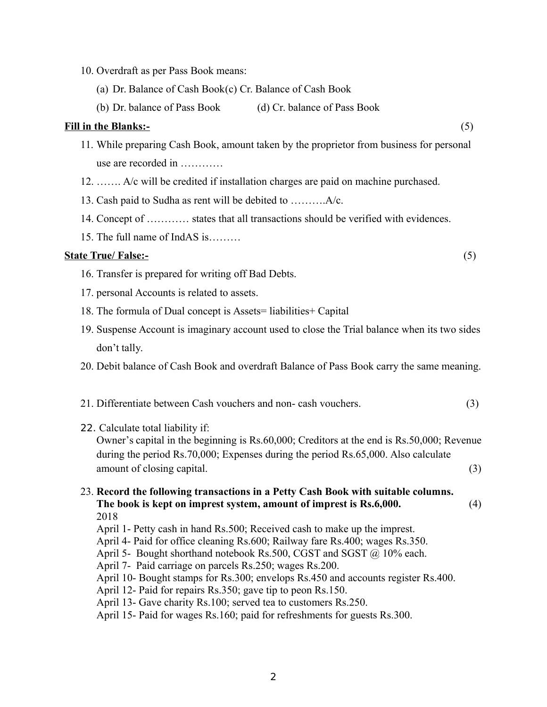- 10. Overdraft as per Pass Book means:
	- (a) Dr. Balance of Cash Book(c) Cr. Balance of Cash Book
	- (b) Dr. balance of Pass Book (d) Cr. balance of Pass Book

#### **Fill in the Blanks:-** (5)

- 11. While preparing Cash Book, amount taken by the proprietor from business for personal use are recorded in …………
- 12. ……. A/c will be credited if installation charges are paid on machine purchased.
- 13. Cash paid to Sudha as rent will be debited to ……….A/c.
- 14. Concept of ………… states that all transactions should be verified with evidences.
- 15. The full name of IndAS is………

## **State True/ False:-** (5)

- 16. Transfer is prepared for writing off Bad Debts.
- 17. personal Accounts is related to assets.
- 18. The formula of Dual concept is Assets= liabilities+ Capital
- 19. Suspense Account is imaginary account used to close the Trial balance when its two sides don't tally.
- 20. Debit balance of Cash Book and overdraft Balance of Pass Book carry the same meaning.
- 21. Differentiate between Cash vouchers and non- cash vouchers. (3)

#### 22. Calculate total liability if:

Owner's capital in the beginning is Rs.60,000; Creditors at the end is Rs.50,000; Revenue during the period Rs.70,000; Expenses during the period Rs.65,000. Also calculate amount of closing capital. (3)

#### 23. **Record the following transactions in a Petty Cash Book with suitable columns. The book is kept on imprest system, amount of imprest is Rs.6,000.** (4) 2018

- April 1- Petty cash in hand Rs.500; Received cash to make up the imprest.
- April 4- Paid for office cleaning Rs.600; Railway fare Rs.400; wages Rs.350.
- April 5- Bought shorthand notebook Rs.500, CGST and SGST @ 10% each.
- April 7- Paid carriage on parcels Rs.250; wages Rs.200.
- April 10- Bought stamps for Rs.300; envelops Rs.450 and accounts register Rs.400.
- April 12- Paid for repairs Rs.350; gave tip to peon Rs.150.
- April 13- Gave charity Rs.100; served tea to customers Rs.250.
- April 15- Paid for wages Rs.160; paid for refreshments for guests Rs.300.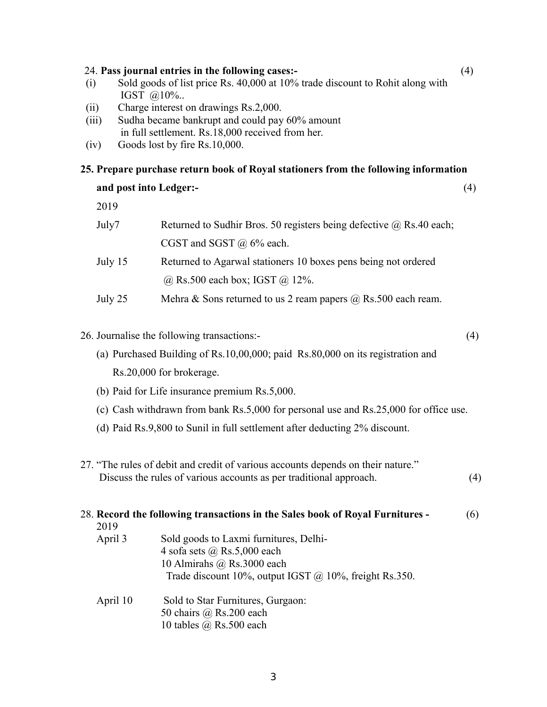| (ii)<br>(iii) | IGST @10%<br>Charge interest on drawings Rs.2,000.<br>Sudha became bankrupt and could pay 60% amount<br>in full settlement. Rs.18,000 received from her.              |     |
|---------------|-----------------------------------------------------------------------------------------------------------------------------------------------------------------------|-----|
| (iv)          | Goods lost by fire Rs.10,000.                                                                                                                                         |     |
|               | 25. Prepare purchase return book of Royal stationers from the following information                                                                                   |     |
|               | and post into Ledger:-                                                                                                                                                | (4) |
| 2019          |                                                                                                                                                                       |     |
| July7         | Returned to Sudhir Bros. 50 registers being defective $\omega$ Rs.40 each;                                                                                            |     |
|               | CGST and SGST $\omega$ 6% each.                                                                                                                                       |     |
| July 15       | Returned to Agarwal stationers 10 boxes pens being not ordered                                                                                                        |     |
|               | $@$ Rs.500 each box; IGST $@$ 12%.                                                                                                                                    |     |
| July 25       | Mehra & Sons returned to us 2 ream papers $\omega$ Rs.500 each ream.                                                                                                  |     |
|               | 26. Journalise the following transactions:-                                                                                                                           | (4) |
|               | (a) Purchased Building of Rs.10,00,000; paid Rs.80,000 on its registration and                                                                                        |     |
|               | Rs.20,000 for brokerage.                                                                                                                                              |     |
|               | (b) Paid for Life insurance premium Rs.5,000.                                                                                                                         |     |
|               | (c) Cash withdrawn from bank Rs.5,000 for personal use and Rs.25,000 for office use.                                                                                  |     |
|               | (d) Paid Rs.9,800 to Sunil in full settlement after deducting 2% discount.                                                                                            |     |
|               | 27. "The rules of debit and credit of various accounts depends on their nature."<br>Discuss the rules of various accounts as per traditional approach.                | (4) |
| 2019          | 28. Record the following transactions in the Sales book of Royal Furnitures -                                                                                         | (6) |
| April 3       | Sold goods to Laxmi furnitures, Delhi-<br>4 sofa sets $(a)$ Rs.5,000 each<br>10 Almirahs @ Rs.3000 each<br>Trade discount $10\%$ , output IGST @ 10%, freight Rs.350. |     |
| April 10      | Sold to Star Furnitures, Gurgaon:<br>50 chairs $\omega$ Rs.200 each<br>10 tables $(a)$ Rs.500 each                                                                    |     |

| $@10\%$ |  |  |
|---------|--|--|
|         |  |  |

- 
- (i) Sold goods of list price Rs. 40,000 at 10% trade discount to Rohit along with

24. **Pass journal entries in the following cases:-** (4)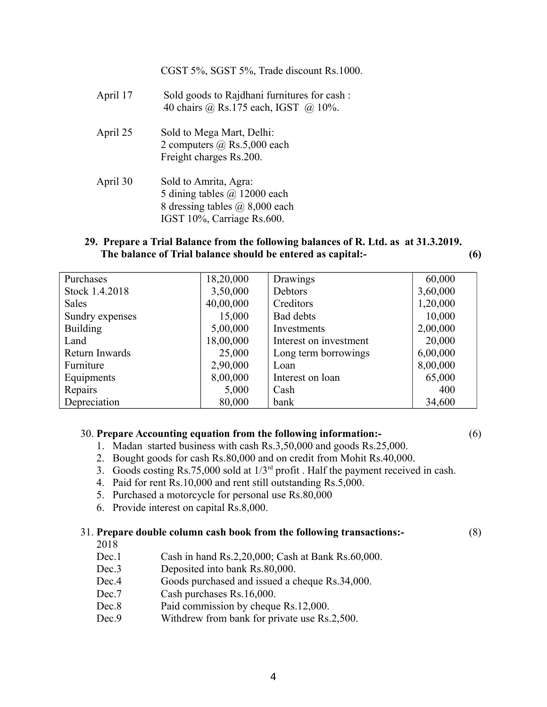CGST 5%, SGST 5%, Trade discount Rs.1000. April 17 Sold goods to Rajdhani furnitures for cash : 40 chairs @ Rs.175 each, IGST @ 10%. April 25 Sold to Mega Mart, Delhi: 2 computers @ Rs.5,000 each Freight charges Rs.200. April 30 Sold to Amrita, Agra: 5 dining tables @ 12000 each 8 dressing tables @ 8,000 each IGST 10%, Carriage Rs.600.

## **29. Prepare a Trial Balance from the following balances of R. Ltd. as at 31.3.2019. The balance of Trial balance should be entered as capital:- (6)**

| Purchases       | 18,20,000 | Drawings               | 60,000   |
|-----------------|-----------|------------------------|----------|
| Stock 1.4.2018  | 3,50,000  | Debtors                | 3,60,000 |
| <b>Sales</b>    | 40,00,000 | Creditors              | 1,20,000 |
| Sundry expenses | 15,000    | <b>Bad debts</b>       | 10,000   |
| <b>Building</b> | 5,00,000  | Investments            | 2,00,000 |
| Land            | 18,00,000 | Interest on investment | 20,000   |
| Return Inwards  | 25,000    | Long term borrowings   | 6,00,000 |
| Furniture       | 2,90,000  | Loan                   | 8,00,000 |
| Equipments      | 8,00,000  | Interest on loan       | 65,000   |
| Repairs         | 5,000     | Cash                   | 400      |
| Depreciation    | 80,000    | bank                   | 34,600   |

## 30. **Prepare Accounting equation from the following information:-** (6)

- 1. Madan started business with cash Rs.3,50,000 and goods Rs.25,000.
- 2. Bought goods for cash Rs.80,000 and on credit from Mohit Rs.40,000.
- 3. Goods costing Rs.75,000 sold at 1/3rd profit . Half the payment received in cash.
- 4. Paid for rent Rs.10,000 and rent still outstanding Rs.5,000.
- 5. Purchased a motorcycle for personal use Rs.80,000
- 6. Provide interest on capital Rs.8,000.

# 31. **Prepare double column cash book from the following transactions:-** (8)

2018

- Dec.1 Cash in hand Rs.2,20,000; Cash at Bank Rs.60,000.
- Dec.3 Deposited into bank Rs.80,000.
- Dec.4 Goods purchased and issued a cheque Rs.34,000.
- Dec.7 Cash purchases Rs.16,000.
- Dec.8 Paid commission by cheque Rs.12,000.
- Dec.9 Withdrew from bank for private use Rs.2,500.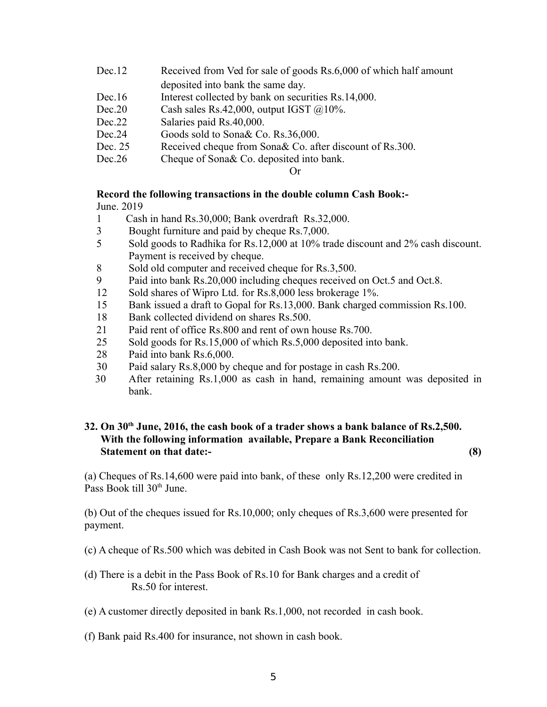| Dec.12  | Received from Ved for sale of goods Rs.6,000 of which half amount |
|---------|-------------------------------------------------------------------|
|         | deposited into bank the same day.                                 |
| Dec.16  | Interest collected by bank on securities Rs.14,000.               |
| Dec.20  | Cash sales Rs.42,000, output IGST $@10\%$ .                       |
| Dec.22  | Salaries paid Rs.40,000.                                          |
| Dec.24  | Goods sold to Sona& Co. Rs.36,000.                                |
| Dec. 25 | Received cheque from Sona& Co. after discount of Rs.300.          |
| Dec.26  | Cheque of Sona & Co. deposited into bank.                         |
|         |                                                                   |

Or

# **Record the following transactions in the double column Cash Book:-**

June. 2019

- 1 Cash in hand Rs.30,000; Bank overdraft Rs.32,000.
- 3 Bought furniture and paid by cheque Rs.7,000.
- 5 Sold goods to Radhika for Rs.12,000 at 10% trade discount and 2% cash discount. Payment is received by cheque.
- 8 Sold old computer and received cheque for Rs.3,500.
- 9 Paid into bank Rs.20,000 including cheques received on Oct.5 and Oct.8.
- 12 Sold shares of Wipro Ltd. for Rs.8,000 less brokerage 1%.
- 15 Bank issued a draft to Gopal for Rs.13,000. Bank charged commission Rs.100.
- 18 Bank collected dividend on shares Rs.500.
- 21 Paid rent of office Rs.800 and rent of own house Rs.700.
- 25 Sold goods for Rs.15,000 of which Rs.5,000 deposited into bank.
- 28 Paid into bank Rs.6,000.
- 30 Paid salary Rs.8,000 by cheque and for postage in cash Rs.200.
- 30 After retaining Rs.1,000 as cash in hand, remaining amount was deposited in bank.

# **32. On 30th June, 2016, the cash book of a trader shows a bank balance of Rs.2,500. With the following information available, Prepare a Bank Reconciliation Statement on that date:- (8)**

(a) Cheques of Rs.14,600 were paid into bank, of these only Rs.12,200 were credited in Pass Book till  $30<sup>th</sup>$  June.

(b) Out of the cheques issued for Rs.10,000; only cheques of Rs.3,600 were presented for payment.

- (c) A cheque of Rs.500 which was debited in Cash Book was not Sent to bank for collection.
- (d) There is a debit in the Pass Book of Rs.10 for Bank charges and a credit of Rs.50 for interest.
- (e) A customer directly deposited in bank Rs.1,000, not recorded in cash book.
- (f) Bank paid Rs.400 for insurance, not shown in cash book.